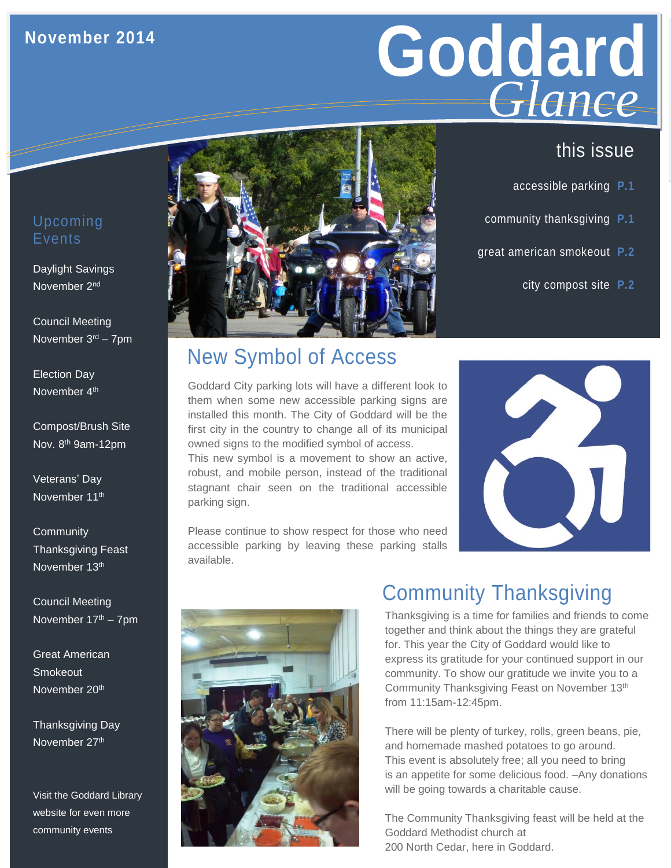## **November 2014**

# Goddard **GLANCE**<br>this issue *Glance*

- accessible parking **P.1**
- community thanksgiving **P.1**
- great american smokeout **P.2**
	- city compost site **P.2**

#### Upcoming **Events**

Daylight Savings November 2nd

Council Meeting November 3rd – 7pm

Election Day November 4th

Compost/Brush Site Nov. 8<sup>th</sup> 9am-12pm

Veterans' Day November 11<sup>th</sup>

**Community** Thanksgiving Feast November 13th

Council Meeting November 17th – 7pm

Great American Smokeout November 20<sup>th</sup>

Thanksgiving Day November 27<sup>th</sup>

Visit the Goddard Library website for even more community events



# New Symbol of Access

Goddard City parking lots will have a different look to them when some new accessible parking signs are installed this month. The City of Goddard will be the first city in the country to change all of its municipal owned signs to the modified symbol of access.

This new symbol is a movement to show an active, robust, and mobile person, instead of the traditional stagnant chair seen on the traditional accessible parking sign.

Please continue to show respect for those who need accessible parking by leaving these parking stalls available.



# Community Thanksgiving

Thanksgiving is a time for families and friends to come together and think about the things they are grateful for. This year the City of Goddard would like to express its gratitude for your continued support in our community. To show our gratitude we invite you to a Community Thanksgiving Feast on November 13th from 11:15am-12:45pm.

There will be plenty of turkey, rolls, green beans, pie, and homemade mashed potatoes to go around. This event is absolutely free; all you need to bring is an appetite for some delicious food. –Any donations will be going towards a charitable cause.

The Community Thanksgiving feast will be held at the Goddard Methodist church at 200 North Cedar, here in Goddard.